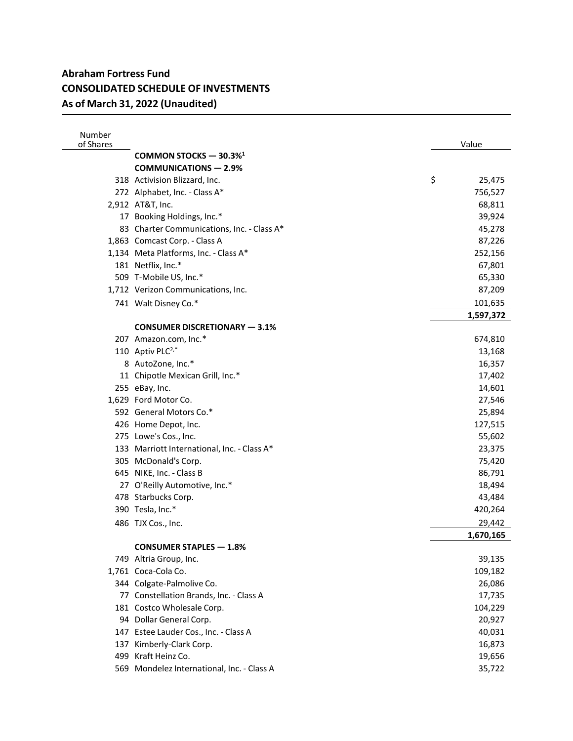| Number<br>of Shares |                                             | Value        |
|---------------------|---------------------------------------------|--------------|
|                     | COMMON STOCKS - 30.3% <sup>1</sup>          |              |
|                     | <b>COMMUNICATIONS - 2.9%</b>                |              |
|                     | 318 Activision Blizzard, Inc.               | \$<br>25,475 |
|                     | 272 Alphabet, Inc. - Class A*               | 756,527      |
|                     | 2,912 AT&T, Inc.                            | 68,811       |
|                     | 17 Booking Holdings, Inc.*                  | 39,924       |
|                     | 83 Charter Communications, Inc. - Class A*  | 45,278       |
|                     | 1,863 Comcast Corp. - Class A               | 87,226       |
|                     | 1,134 Meta Platforms, Inc. - Class A*       | 252,156      |
|                     | 181 Netflix, Inc.*                          | 67,801       |
|                     | 509 T-Mobile US, Inc.*                      | 65,330       |
|                     | 1,712 Verizon Communications, Inc.          | 87,209       |
|                     | 741 Walt Disney Co.*                        | 101,635      |
|                     |                                             | 1,597,372    |
|                     | <b>CONSUMER DISCRETIONARY - 3.1%</b>        |              |
|                     | 207 Amazon.com, Inc.*                       | 674,810      |
|                     | 110 Aptiv PLC <sup>2,*</sup>                | 13,168       |
|                     | 8 AutoZone, Inc.*                           | 16,357       |
|                     | 11 Chipotle Mexican Grill, Inc.*            | 17,402       |
|                     | 255 eBay, Inc.                              | 14,601       |
|                     | 1,629 Ford Motor Co.                        | 27,546       |
|                     | 592 General Motors Co.*                     | 25,894       |
|                     | 426 Home Depot, Inc.                        | 127,515      |
|                     | 275 Lowe's Cos., Inc.                       | 55,602       |
|                     | 133 Marriott International, Inc. - Class A* | 23,375       |
|                     | 305 McDonald's Corp.                        | 75,420       |
|                     | 645 NIKE, Inc. - Class B                    | 86,791       |
|                     | 27 O'Reilly Automotive, Inc.*               | 18,494       |
|                     | 478 Starbucks Corp.                         | 43,484       |
|                     | 390 Tesla, Inc.*                            | 420,264      |
|                     | 486 TJX Cos., Inc.                          | 29,442       |
|                     |                                             | 1,670,165    |
|                     | <b>CONSUMER STAPLES - 1.8%</b>              |              |
|                     | 749 Altria Group, Inc.                      | 39,135       |
|                     | 1,761 Coca-Cola Co.                         | 109,182      |
|                     | 344 Colgate-Palmolive Co.                   | 26,086       |
|                     | 77 Constellation Brands, Inc. - Class A     | 17,735       |
|                     | 181 Costco Wholesale Corp.                  | 104,229      |
|                     | 94 Dollar General Corp.                     | 20,927       |
|                     | 147 Estee Lauder Cos., Inc. - Class A       | 40,031       |
| 137                 | Kimberly-Clark Corp.                        | 16,873       |
|                     | 499 Kraft Heinz Co.                         | 19,656       |
|                     | 569 Mondelez International, Inc. - Class A  | 35,722       |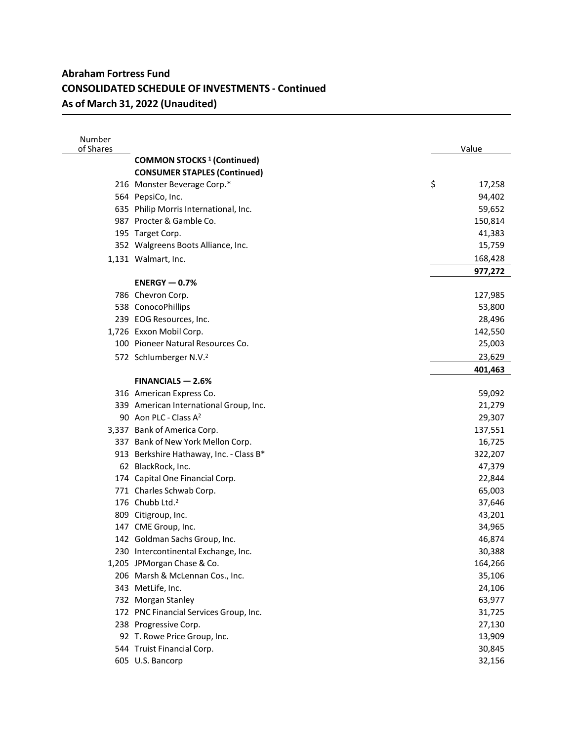| Number<br>of Shares |                                              | Value        |
|---------------------|----------------------------------------------|--------------|
|                     | <b>COMMON STOCKS<sup>1</sup></b> (Continued) |              |
|                     | <b>CONSUMER STAPLES (Continued)</b>          |              |
|                     | 216 Monster Beverage Corp.*                  | \$<br>17,258 |
|                     | 564 PepsiCo, Inc.                            | 94,402       |
|                     | 635 Philip Morris International, Inc.        | 59,652       |
|                     | 987 Procter & Gamble Co.                     | 150,814      |
|                     | 195 Target Corp.                             | 41,383       |
|                     | 352 Walgreens Boots Alliance, Inc.           | 15,759       |
|                     | 1,131 Walmart, Inc.                          | 168,428      |
|                     |                                              | 977,272      |
|                     | $ENERGY - 0.7%$                              |              |
|                     | 786 Chevron Corp.                            | 127,985      |
|                     | 538 ConocoPhillips                           | 53,800       |
|                     | 239 EOG Resources, Inc.                      | 28,496       |
|                     | 1,726 Exxon Mobil Corp.                      | 142,550      |
|                     | 100 Pioneer Natural Resources Co.            | 25,003       |
|                     | 572 Schlumberger N.V. <sup>2</sup>           | 23,629       |
|                     |                                              | 401,463      |
|                     | $FINANCIALS - 2.6%$                          |              |
|                     | 316 American Express Co.                     | 59,092       |
|                     | 339 American International Group, Inc.       | 21,279       |
|                     | 90 Aon PLC - Class A <sup>2</sup>            | 29,307       |
|                     | 3,337 Bank of America Corp.                  | 137,551      |
|                     | 337 Bank of New York Mellon Corp.            | 16,725       |
|                     | 913 Berkshire Hathaway, Inc. - Class B*      | 322,207      |
|                     | 62 BlackRock, Inc.                           | 47,379       |
|                     | 174 Capital One Financial Corp.              | 22,844       |
|                     | 771 Charles Schwab Corp.                     | 65,003       |
|                     | 176 Chubb Ltd. <sup>2</sup>                  | 37,646       |
|                     | 809 Citigroup, Inc.                          | 43,201       |
|                     | 147 CME Group, Inc.                          | 34,965       |
|                     | 142 Goldman Sachs Group, Inc.                | 46,874       |
|                     | 230 Intercontinental Exchange, Inc.          | 30,388       |
|                     | 1,205 JPMorgan Chase & Co.                   | 164,266      |
|                     | 206 Marsh & McLennan Cos., Inc.              | 35,106       |
|                     | 343 MetLife, Inc.                            | 24,106       |
|                     | 732 Morgan Stanley                           | 63,977       |
|                     | 172 PNC Financial Services Group, Inc.       | 31,725       |
|                     | 238 Progressive Corp.                        | 27,130       |
|                     | 92 T. Rowe Price Group, Inc.                 | 13,909       |
|                     | 544 Truist Financial Corp.                   | 30,845       |
|                     | 605 U.S. Bancorp                             | 32,156       |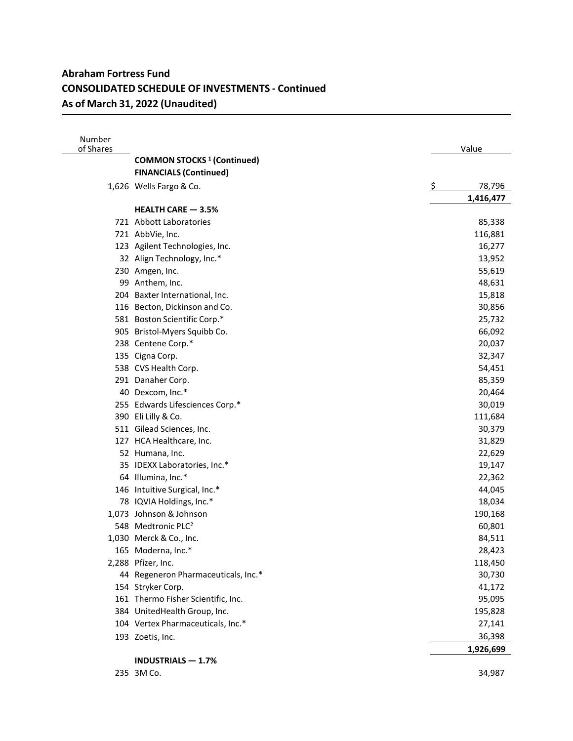| Number<br>of Shares |                                              | Value     |           |
|---------------------|----------------------------------------------|-----------|-----------|
|                     | <b>COMMON STOCKS<sup>1</sup></b> (Continued) |           |           |
|                     | <b>FINANCIALS (Continued)</b>                |           |           |
|                     | 1,626 Wells Fargo & Co.                      | <u>ي</u>  | 78,796    |
|                     |                                              | 1,416,477 |           |
|                     | <b>HEALTH CARE - 3.5%</b>                    |           |           |
|                     | 721 Abbott Laboratories                      |           | 85,338    |
|                     | 721 AbbVie, Inc.                             |           | 116,881   |
|                     | 123 Agilent Technologies, Inc.               |           | 16,277    |
|                     | 32 Align Technology, Inc.*                   |           | 13,952    |
|                     | 230 Amgen, Inc.                              |           | 55,619    |
|                     | 99 Anthem, Inc.                              |           | 48,631    |
|                     | 204 Baxter International, Inc.               |           | 15,818    |
|                     | 116 Becton, Dickinson and Co.                |           | 30,856    |
|                     | 581 Boston Scientific Corp.*                 |           | 25,732    |
|                     | 905 Bristol-Myers Squibb Co.                 |           | 66,092    |
|                     | 238 Centene Corp.*                           |           | 20,037    |
|                     | 135 Cigna Corp.                              |           | 32,347    |
|                     | 538 CVS Health Corp.                         |           | 54,451    |
|                     | 291 Danaher Corp.                            |           | 85,359    |
|                     | 40 Dexcom, Inc.*                             |           | 20,464    |
|                     | 255 Edwards Lifesciences Corp.*              |           | 30,019    |
|                     | 390 Eli Lilly & Co.                          |           | 111,684   |
|                     | 511 Gilead Sciences, Inc.                    |           | 30,379    |
|                     | 127 HCA Healthcare, Inc.                     |           | 31,829    |
|                     | 52 Humana, Inc.                              |           | 22,629    |
|                     | 35 IDEXX Laboratories, Inc.*                 |           | 19,147    |
|                     | 64 Illumina, Inc.*                           |           | 22,362    |
|                     | 146 Intuitive Surgical, Inc.*                |           | 44,045    |
|                     | 78 IQVIA Holdings, Inc.*                     |           | 18,034    |
|                     | 1,073 Johnson & Johnson                      |           | 190,168   |
|                     | 548 Medtronic PLC <sup>2</sup>               |           | 60,801    |
|                     | 1,030 Merck & Co., Inc.                      |           | 84,511    |
|                     | 165 Moderna, Inc.*                           |           | 28,423    |
|                     | 2,288 Pfizer, Inc.                           |           | 118,450   |
|                     | 44 Regeneron Pharmaceuticals, Inc.*          |           | 30,730    |
|                     | 154 Stryker Corp.                            |           | 41,172    |
|                     | 161 Thermo Fisher Scientific, Inc.           |           | 95,095    |
|                     | 384 UnitedHealth Group, Inc.                 |           | 195,828   |
|                     | 104 Vertex Pharmaceuticals, Inc.*            |           | 27,141    |
|                     | 193 Zoetis, Inc.                             |           | 36,398    |
|                     |                                              |           | 1,926,699 |
|                     | <b>INDUSTRIALS - 1.7%</b>                    |           |           |

3M Co. 34,987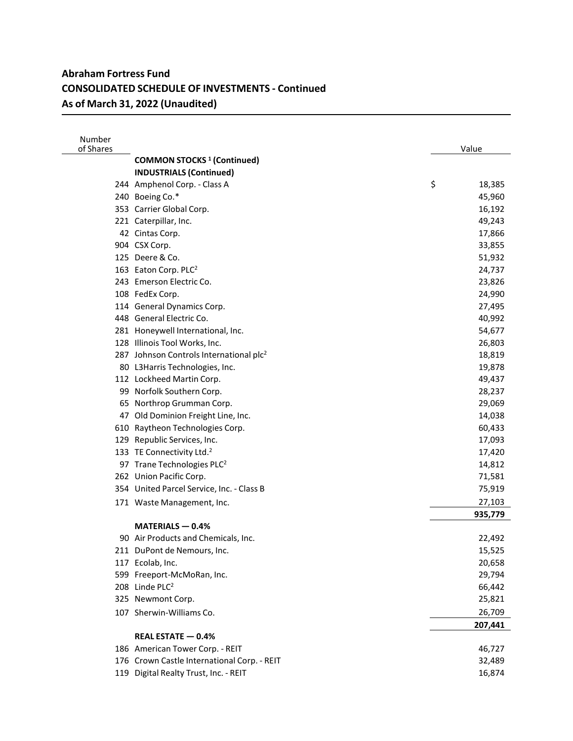| Number<br>of Shares |                                                     | Value        |
|---------------------|-----------------------------------------------------|--------------|
|                     | <b>COMMON STOCKS<sup>1</sup></b> (Continued)        |              |
|                     | <b>INDUSTRIALS (Continued)</b>                      |              |
|                     | 244 Amphenol Corp. - Class A                        | \$<br>18,385 |
|                     | 240 Boeing Co.*                                     | 45,960       |
|                     | 353 Carrier Global Corp.                            | 16,192       |
|                     | 221 Caterpillar, Inc.                               | 49,243       |
|                     | 42 Cintas Corp.                                     | 17,866       |
|                     | 904 CSX Corp.                                       | 33,855       |
|                     | 125 Deere & Co.                                     | 51,932       |
|                     | 163 Eaton Corp. PLC <sup>2</sup>                    | 24,737       |
|                     | 243 Emerson Electric Co.                            | 23,826       |
|                     | 108 FedEx Corp.                                     | 24,990       |
|                     | 114 General Dynamics Corp.                          | 27,495       |
|                     | 448 General Electric Co.                            | 40,992       |
|                     | 281 Honeywell International, Inc.                   | 54,677       |
|                     | 128 Illinois Tool Works, Inc.                       | 26,803       |
|                     | 287 Johnson Controls International plc <sup>2</sup> | 18,819       |
|                     | 80 L3Harris Technologies, Inc.                      | 19,878       |
|                     | 112 Lockheed Martin Corp.                           | 49,437       |
|                     | 99 Norfolk Southern Corp.                           | 28,237       |
|                     | 65 Northrop Grumman Corp.                           | 29,069       |
|                     | 47 Old Dominion Freight Line, Inc.                  | 14,038       |
|                     | 610 Raytheon Technologies Corp.                     | 60,433       |
|                     | 129 Republic Services, Inc.                         | 17,093       |
|                     | 133 TE Connectivity Ltd. <sup>2</sup>               | 17,420       |
|                     | 97 Trane Technologies PLC <sup>2</sup>              | 14,812       |
|                     | 262 Union Pacific Corp.                             | 71,581       |
|                     | 354 United Parcel Service, Inc. - Class B           | 75,919       |
|                     | 171 Waste Management, Inc.                          | 27,103       |
|                     |                                                     | 935,779      |
|                     | $MATERIALS - 0.4%$                                  |              |
|                     | 90 Air Products and Chemicals, Inc.                 | 22,492       |
|                     | 211 DuPont de Nemours, Inc.                         | 15,525       |
|                     | 117 Ecolab, Inc.                                    | 20,658       |
|                     | 599 Freeport-McMoRan, Inc.                          | 29,794       |
|                     | 208 Linde PLC <sup>2</sup>                          | 66,442       |
|                     | 325 Newmont Corp.                                   | 25,821       |
|                     | 107 Sherwin-Williams Co.                            | 26,709       |
|                     |                                                     | 207,441      |
|                     | REAL ESTATE - 0.4%                                  |              |
|                     | 186 American Tower Corp. - REIT                     | 46,727       |
|                     | 176 Crown Castle International Corp. - REIT         | 32,489       |
|                     | 119 Digital Realty Trust, Inc. - REIT               | 16,874       |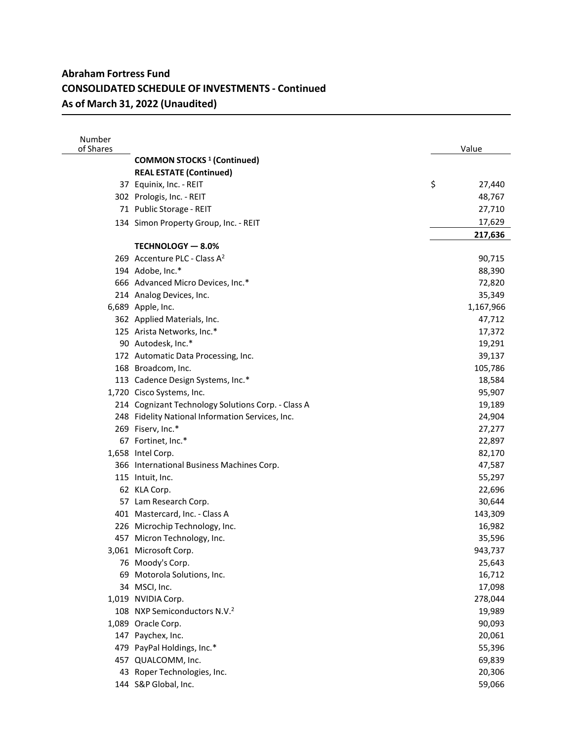| Number<br>of Shares |                                                    | Value        |
|---------------------|----------------------------------------------------|--------------|
|                     | <b>COMMON STOCKS<sup>1</sup></b> (Continued)       |              |
|                     | <b>REAL ESTATE (Continued)</b>                     |              |
|                     | 37 Equinix, Inc. - REIT                            | \$<br>27,440 |
|                     | 302 Prologis, Inc. - REIT                          | 48,767       |
|                     | 71 Public Storage - REIT                           | 27,710       |
|                     | 134 Simon Property Group, Inc. - REIT              | 17,629       |
|                     |                                                    | 217,636      |
|                     | TECHNOLOGY - 8.0%                                  |              |
|                     | 269 Accenture PLC - Class A <sup>2</sup>           | 90,715       |
|                     | 194 Adobe, Inc.*                                   | 88,390       |
|                     | 666 Advanced Micro Devices, Inc.*                  | 72,820       |
|                     | 214 Analog Devices, Inc.                           | 35,349       |
|                     | 6,689 Apple, Inc.                                  | 1,167,966    |
|                     | 362 Applied Materials, Inc.                        | 47,712       |
|                     | 125 Arista Networks, Inc.*                         | 17,372       |
|                     | 90 Autodesk, Inc.*                                 | 19,291       |
|                     | 172 Automatic Data Processing, Inc.                | 39,137       |
|                     | 168 Broadcom, Inc.                                 | 105,786      |
|                     | 113 Cadence Design Systems, Inc.*                  | 18,584       |
|                     | 1,720 Cisco Systems, Inc.                          | 95,907       |
|                     | 214 Cognizant Technology Solutions Corp. - Class A | 19,189       |
|                     | 248 Fidelity National Information Services, Inc.   | 24,904       |
|                     | 269 Fiserv, Inc.*                                  | 27,277       |
|                     | 67 Fortinet, Inc.*                                 | 22,897       |
|                     | 1,658 Intel Corp.                                  | 82,170       |
|                     | 366 International Business Machines Corp.          | 47,587       |
|                     | 115 Intuit, Inc.                                   | 55,297       |
|                     | 62 KLA Corp.                                       | 22,696       |
|                     | 57 Lam Research Corp.                              | 30,644       |
|                     | 401 Mastercard, Inc. - Class A                     | 143,309      |
|                     | 226 Microchip Technology, Inc.                     | 16,982       |
|                     | 457 Micron Technology, Inc.                        | 35,596       |
|                     | 3,061 Microsoft Corp.                              | 943,737      |
|                     | 76 Moody's Corp.                                   | 25,643       |
| 69                  | Motorola Solutions, Inc.                           | 16,712       |
|                     | 34 MSCI, Inc.                                      | 17,098       |
|                     | 1,019 NVIDIA Corp.                                 | 278,044      |
|                     | 108 NXP Semiconductors N.V. <sup>2</sup>           | 19,989       |
|                     | 1,089 Oracle Corp.                                 | 90,093       |
| 147                 | Paychex, Inc.                                      | 20,061       |
| 479                 | PayPal Holdings, Inc.*                             | 55,396       |
| 457                 | QUALCOMM, Inc.                                     | 69,839       |
| 43                  | Roper Technologies, Inc.                           | 20,306       |
|                     | 144 S&P Global, Inc.                               | 59,066       |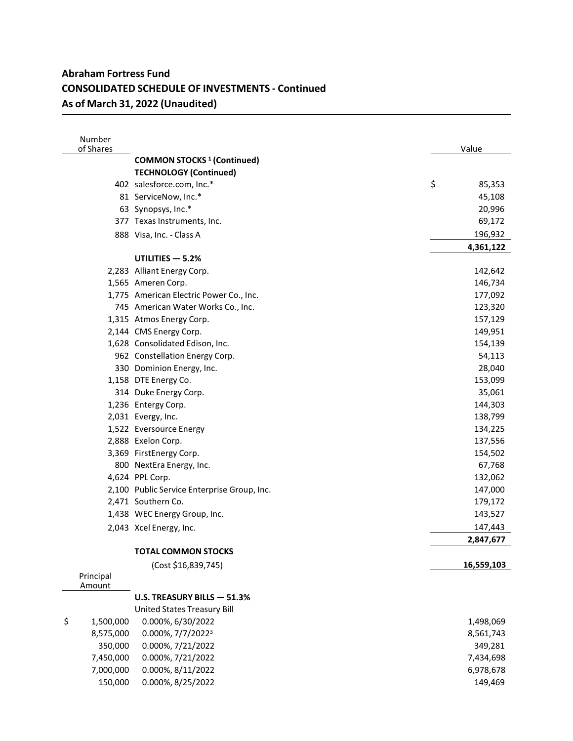| Number<br>of Shares |                                              | Value        |
|---------------------|----------------------------------------------|--------------|
|                     | <b>COMMON STOCKS<sup>1</sup></b> (Continued) |              |
|                     | <b>TECHNOLOGY (Continued)</b>                |              |
|                     | 402 salesforce.com, Inc.*                    | \$<br>85,353 |
|                     | 81 ServiceNow, Inc.*                         | 45,108       |
|                     | 63 Synopsys, Inc.*                           | 20,996       |
|                     | 377 Texas Instruments, Inc.                  | 69,172       |
|                     | 888 Visa, Inc. - Class A                     | 196,932      |
|                     |                                              | 4,361,122    |
|                     | UTILITIES $-5.2%$                            |              |
|                     | 2,283 Alliant Energy Corp.                   | 142,642      |
|                     | 1,565 Ameren Corp.                           | 146,734      |
|                     | 1,775 American Electric Power Co., Inc.      | 177,092      |
|                     | 745 American Water Works Co., Inc.           | 123,320      |
|                     | 1,315 Atmos Energy Corp.                     | 157,129      |
|                     | 2,144 CMS Energy Corp.                       | 149,951      |
|                     | 1,628 Consolidated Edison, Inc.              | 154,139      |
|                     | 962 Constellation Energy Corp.               | 54,113       |
|                     | 330 Dominion Energy, Inc.                    | 28,040       |
|                     | 1,158 DTE Energy Co.                         | 153,099      |
|                     | 314 Duke Energy Corp.                        | 35,061       |
|                     | 1,236 Entergy Corp.                          | 144,303      |
|                     | 2,031 Evergy, Inc.                           | 138,799      |
|                     | 1,522 Eversource Energy                      | 134,225      |
|                     | 2,888 Exelon Corp.                           | 137,556      |
|                     | 3,369 FirstEnergy Corp.                      | 154,502      |
|                     | 800 NextEra Energy, Inc.                     | 67,768       |
|                     | 4,624 PPL Corp.                              | 132,062      |
|                     | 2,100 Public Service Enterprise Group, Inc.  | 147,000      |
|                     | 2,471 Southern Co.                           | 179,172      |
|                     | 1,438 WEC Energy Group, Inc.                 | 143,527      |
|                     | 2,043 Xcel Energy, Inc.                      | 147,443      |
|                     |                                              | 2,847,677    |
|                     | <b>TOTAL COMMON STOCKS</b>                   |              |
|                     | (Cost \$16,839,745)                          | 16,559,103   |
| Principal           |                                              |              |
| Amount              |                                              |              |
|                     | U.S. TREASURY BILLS - 51.3%                  |              |
|                     | United States Treasury Bill                  |              |
| \$<br>1,500,000     | 0.000%, 6/30/2022                            | 1,498,069    |
| 8,575,000           | 0.000%, 7/7/20223                            | 8,561,743    |
| 350,000             | 0.000%, 7/21/2022                            | 349,281      |
| 7,450,000           | 0.000%, 7/21/2022                            | 7,434,698    |
| 7,000,000           | 0.000%, 8/11/2022                            | 6,978,678    |
| 150,000             | 0.000%, 8/25/2022                            | 149,469      |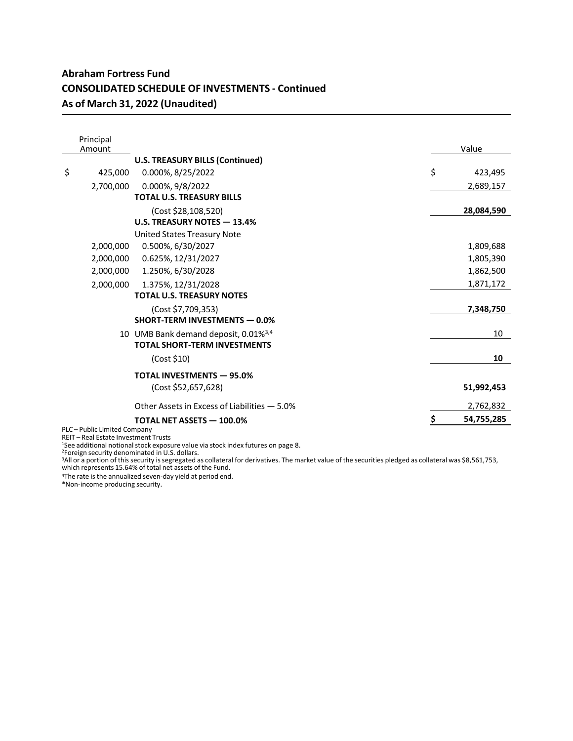| Principal<br>Amount |                                                  | Value            |
|---------------------|--------------------------------------------------|------------------|
|                     | <b>U.S. TREASURY BILLS (Continued)</b>           |                  |
| \$<br>425,000       | 0.000%, 8/25/2022                                | \$<br>423,495    |
| 2.700.000           | 0.000%, 9/8/2022                                 | 2,689,157        |
|                     | <b>TOTAL U.S. TREASURY BILLS</b>                 |                  |
|                     | (Cost \$28,108,520)                              | 28,084,590       |
|                     | U.S. TREASURY NOTES - 13.4%                      |                  |
|                     | <b>United States Treasury Note</b>               |                  |
| 2,000,000           | 0.500%, 6/30/2027                                | 1,809,688        |
| 2,000,000           | 0.625%, 12/31/2027                               | 1,805,390        |
| 2,000,000           | 1.250%, 6/30/2028                                | 1,862,500        |
| 2,000,000           | 1.375%, 12/31/2028                               | 1,871,172        |
|                     | <b>TOTAL U.S. TREASURY NOTES</b>                 |                  |
|                     | (Cost \$7,709,353)                               | 7,348,750        |
|                     | <b>SHORT-TERM INVESTMENTS - 0.0%</b>             |                  |
|                     | 10 UMB Bank demand deposit, 0.01% <sup>3,4</sup> | 10               |
|                     | <b>TOTAL SHORT-TERM INVESTMENTS</b>              |                  |
|                     | (Cost \$10)                                      | 10               |
|                     | <b>TOTAL INVESTMENTS - 95.0%</b>                 |                  |
|                     | (Cost \$52,657,628)                              | 51,992,453       |
|                     | Other Assets in Excess of Liabilities - 5.0%     | 2,762,832        |
|                     | <b>TOTAL NET ASSETS - 100.0%</b>                 | \$<br>54,755,285 |

PLC – Public Limited Company REIT – Real Estate Investment Trusts

<sup>1</sup>See additional notional stock exposure value via stock index futures on page 8.<br><sup>2</sup>Foreign security denominated in U.S. dollars.<br><sup>3</sup>All or a portion of this security is segregated as collateral for derivatives. The mark

4The rate is the annualized seven-day yield at period end.

\*Non-income producing security.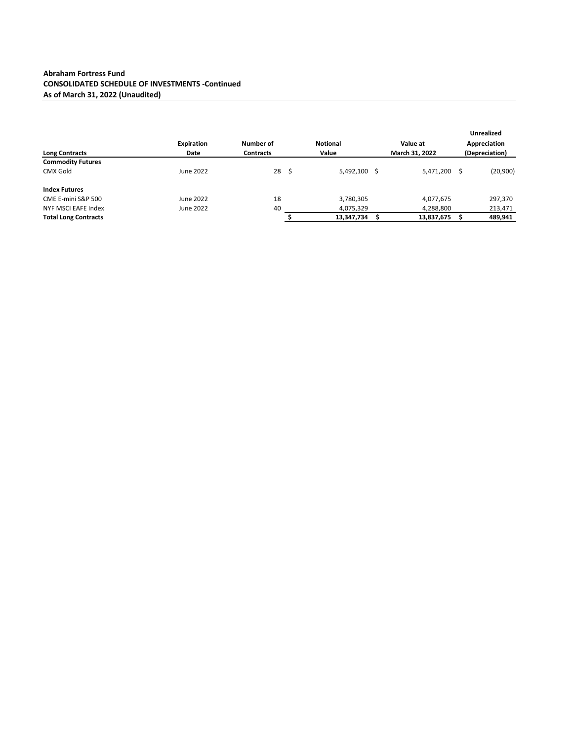|                             |                   |                  |   |                 |                |    | <b>Unrealized</b> |
|-----------------------------|-------------------|------------------|---|-----------------|----------------|----|-------------------|
|                             | <b>Expiration</b> | Number of        |   | <b>Notional</b> | Value at       |    | Appreciation      |
| <b>Long Contracts</b>       | Date              | <b>Contracts</b> |   | Value           | March 31, 2022 |    | (Depreciation)    |
| <b>Commodity Futures</b>    |                   |                  |   |                 |                |    |                   |
| <b>CMX Gold</b>             | June 2022         | 28               | Ŝ | 5,492,100 \$    | 5,471,200      | .s | (20, 900)         |
| <b>Index Futures</b>        |                   |                  |   |                 |                |    |                   |
| CME E-mini S&P 500          | June 2022         | 18               |   | 3,780,305       | 4,077,675      |    | 297,370           |
| NYF MSCI EAFE Index         | June 2022         | 40               |   | 4,075,329       | 4,288,800      |    | 213,471           |
| <b>Total Long Contracts</b> |                   |                  |   | 13,347,734      | 13,837,675     |    | 489,941           |